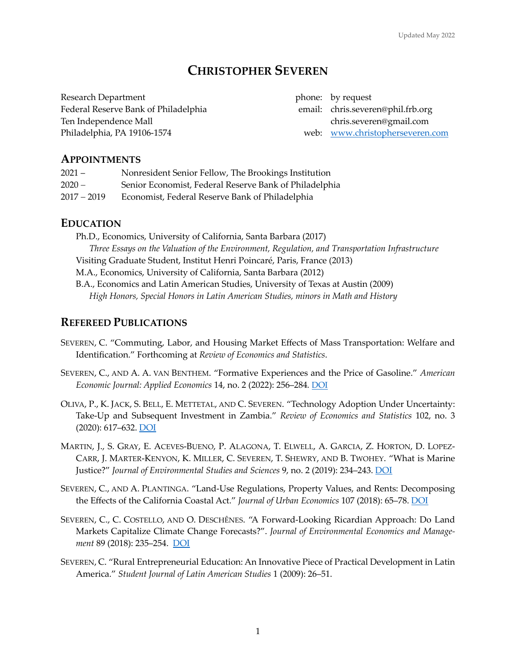# **CHRISTOPHER SEVEREN**

Research Department **phone:** by request Federal Reserve Bank of Philadelphia email: chris.severen@phil.frb.org Ten Independence Mall chris.severen@gmail.com Philadelphia, PA 19106-1574 web: www.christopherseveren.com

# **APPOINTMENTS**

| $2021 -$      | Nonresident Senior Fellow, The Brookings Institution   |
|---------------|--------------------------------------------------------|
| $2020 -$      | Senior Economist, Federal Reserve Bank of Philadelphia |
| $2017 - 2019$ | Economist, Federal Reserve Bank of Philadelphia        |

# **EDUCATION**

Ph.D., Economics, University of California, Santa Barbara (2017) *Three Essays on the Valuation of the Environment, Regulation, and Transportation Infrastructure* Visiting Graduate Student, Institut Henri Poincaré, Paris, France (2013) M.A., Economics, University of California, Santa Barbara (2012) B.A., Economics and Latin American Studies, University of Texas at Austin (2009) *High Honors, Special Honors in Latin American Studies, minors in Math and History*

# **REFEREED PUBLICATIONS**

- SEVEREN, C. "Commuting, Labor, and Housing Market Effects of Mass Transportation: Welfare and Identification." Forthcoming at *Review of Economics and Statistics*.
- SEVEREN, C., AND A. A. VAN BENTHEM. "Formative Experiences and the Price of Gasoline." *American Economic Journal: Applied Economics* 14, no. 2 (2022): 256–284*.* DOI
- OLIVA, P., K. JACK, S. BELL, E. METTETAL, AND C. SEVEREN. "Technology Adoption Under Uncertainty: Take-Up and Subsequent Investment in Zambia." *Review of Economics and Statistics* 102, no. 3 (2020): 617–632. DOI
- MARTIN, J., S. GRAY, E. ACEVES-BUENO, P. ALAGONA, T. ELWELL, A. GARCIA, Z. HORTON, D. LOPEZ-CARR, J. MARTER-KENYON, K. MILLER, C. SEVEREN, T. SHEWRY, AND B. TWOHEY. "What is Marine Justice?" *Journal of Environmental Studies and Sciences* 9, no. 2 (2019): 234–243. DOI
- SEVEREN, C., AND A. PLANTINGA. "Land-Use Regulations, Property Values, and Rents: Decomposing the Effects of the California Coastal Act." *Journal of Urban Economics* 107 (2018): 65–78. DOI
- SEVEREN, C., C. COSTELLO, AND O. DESCHÊNES. "A Forward-Looking Ricardian Approach: Do Land Markets Capitalize Climate Change Forecasts?". *Journal of Environmental Economics and Management* 89 (2018): 235–254. DOI
- SEVEREN, C. "Rural Entrepreneurial Education: An Innovative Piece of Practical Development in Latin America." *Student Journal of Latin American Studies* 1 (2009): 26–51.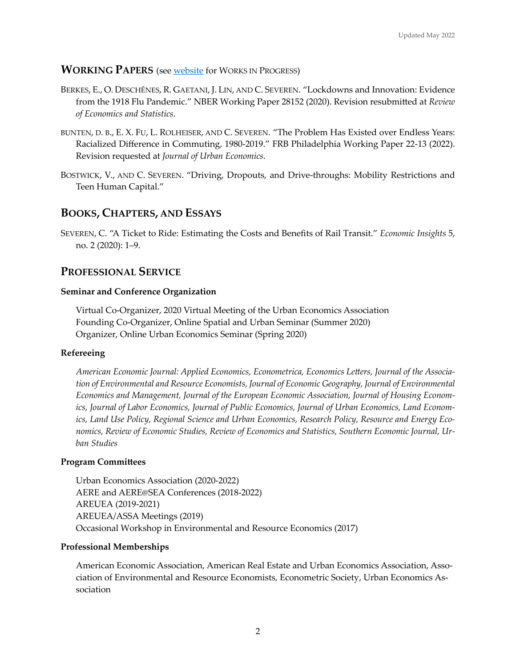### **WORKING PAPERS** (see website for WORKS IN PROGRESS)

- BERKES, E., O. DESCHÊNES, R. GAETANI, J. LIN, AND C. SEVEREN. "Lockdowns and Innovation: Evidence from the 1918 Flu Pandemic." NBER Working Paper 28152 (2020). Revision resubmitted at *Review of Economics and Statistics*.
- BUNTEN, D. B., E. X. FU, L. ROLHEISER, AND C. SEVEREN. "The Problem Has Existed over Endless Years: Racialized Difference in Commuting, 1980-2019." FRB Philadelphia Working Paper 22-13 (2022). Revision requested at *Journal of Urban Economics.*
- BOSTWICK, V., AND C. SEVEREN. "Driving, Dropouts, and Drive-throughs: Mobility Restrictions and Teen Human Capital."

# **BOOKS, CHAPTERS, AND ESSAYS**

SEVEREN, C. "A Ticket to Ride: Estimating the Costs and Benefits of Rail Transit." *Economic Insights* 5, no. 2 (2020): 1–9.

# **PROFESSIONAL SERVICE**

### **Seminar and Conference Organization**

Virtual Co-Organizer, 2020 Virtual Meeting of the Urban Economics Association Founding Co-Organizer, Online Spatial and Urban Seminar (Summer 2020) Organizer, Online Urban Economics Seminar (Spring 2020)

### **Refereeing**

American Economic Journal: Applied Economics, Econometrica, Economics Letters, Journal of the Associa*tion of Environmental and Resource Economists, Journal of Economic Geography, Journal of Environmental Economics and Management, Journal of the European Economic Association, Journal of Housing Economics, Journal of Labor Economics, Journal of Public Economics, Journal of Urban Economics, Land Economics, Land Use Policy, Regional Science and Urban Economics, Research Policy, Resource and Energy Economics, Review of Economic Studies, Review of Economics and Statistics, Southern Economic Journal, Urban Studies*

#### **Program Committees**

Urban Economics Association (2020-2022) AERE and AERE@SEA Conferences (2018-2022) AREUEA (2019-2021) AREUEA/ASSA Meetings (2019) Occasional Workshop in Environmental and Resource Economics (2017)

#### **Professional Memberships**

American Economic Association, American Real Estate and Urban Economics Association, Association of Environmental and Resource Economists, Econometric Society, Urban Economics Association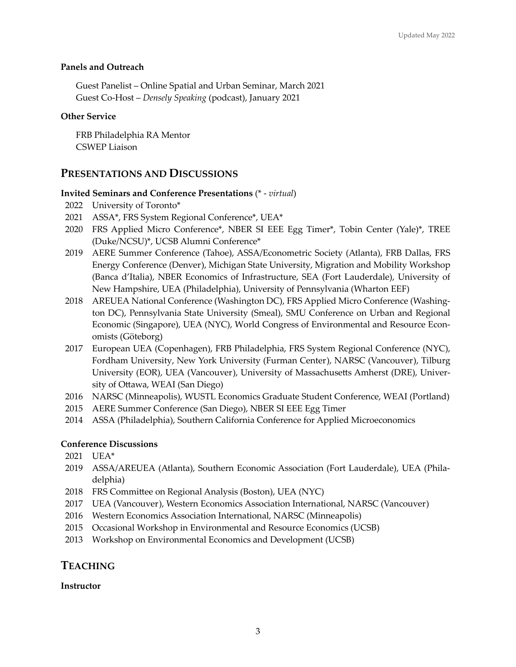### **Panels and Outreach**

Guest Panelist – Online Spatial and Urban Seminar, March 2021 Guest Co-Host – *Densely Speaking* (podcast), January 2021

### **Other Service**

FRB Philadelphia RA Mentor CSWEP Liaison

# **PRESENTATIONS AND DISCUSSIONS**

### **Invited Seminars and Conference Presentations** (\* - *virtual*)

- 2022 University of Toronto\*
- 2021 ASSA\*, FRS System Regional Conference\*, UEA\*
- 2020 FRS Applied Micro Conference\*, NBER SI EEE Egg Timer\*, Tobin Center (Yale)\*, TREE (Duke/NCSU)\*, UCSB Alumni Conference\*
- 2019 AERE Summer Conference (Tahoe), ASSA/Econometric Society (Atlanta), FRB Dallas, FRS Energy Conference (Denver), Michigan State University, Migration and Mobility Workshop (Banca d'Italia), NBER Economics of Infrastructure, SEA (Fort Lauderdale), University of New Hampshire, UEA (Philadelphia), University of Pennsylvania (Wharton EEF)
- 2018 AREUEA National Conference (Washington DC), FRS Applied Micro Conference (Washington DC), Pennsylvania State University (Smeal), SMU Conference on Urban and Regional Economic (Singapore), UEA (NYC), World Congress of Environmental and Resource Economists (Göteborg)
- 2017 European UEA (Copenhagen), FRB Philadelphia, FRS System Regional Conference (NYC), Fordham University, New York University (Furman Center), NARSC (Vancouver), Tilburg University (EOR), UEA (Vancouver), University of Massachusetts Amherst (DRE), University of Ottawa, WEAI (San Diego)
- 2016 NARSC (Minneapolis), WUSTL Economics Graduate Student Conference, WEAI (Portland)
- 2015 AERE Summer Conference (San Diego), NBER SI EEE Egg Timer
- 2014 ASSA (Philadelphia), Southern California Conference for Applied Microeconomics

### **Conference Discussions**

- 2021 UEA\*
- 2019 ASSA/AREUEA (Atlanta), Southern Economic Association (Fort Lauderdale), UEA (Philadelphia)
- 2018 FRS Committee on Regional Analysis (Boston), UEA (NYC)
- 2017 UEA (Vancouver), Western Economics Association International, NARSC (Vancouver)
- 2016 Western Economics Association International, NARSC (Minneapolis)
- 2015 Occasional Workshop in Environmental and Resource Economics (UCSB)
- 2013 Workshop on Environmental Economics and Development (UCSB)

# **TEACHING**

### **Instructor**